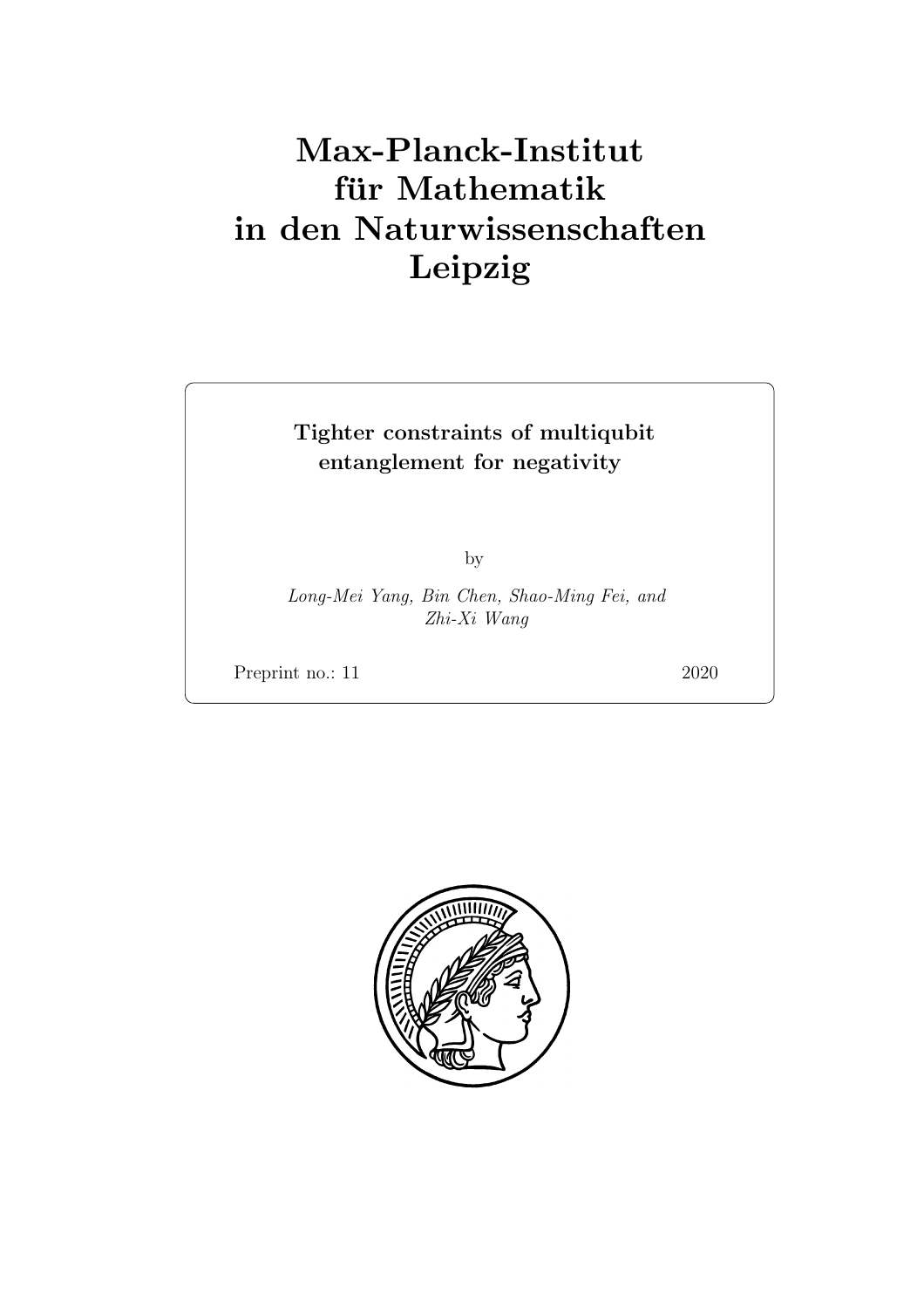# Max-Planck-Institut für Mathematik in den Naturwissenschaften Leipzig

# Tighter constraints of multiqubit entanglement for negativity

by

Long-Mei Yang, Bin Chen, Shao-Ming Fei, and Zhi-Xi Wang

Preprint no.: 11 2020

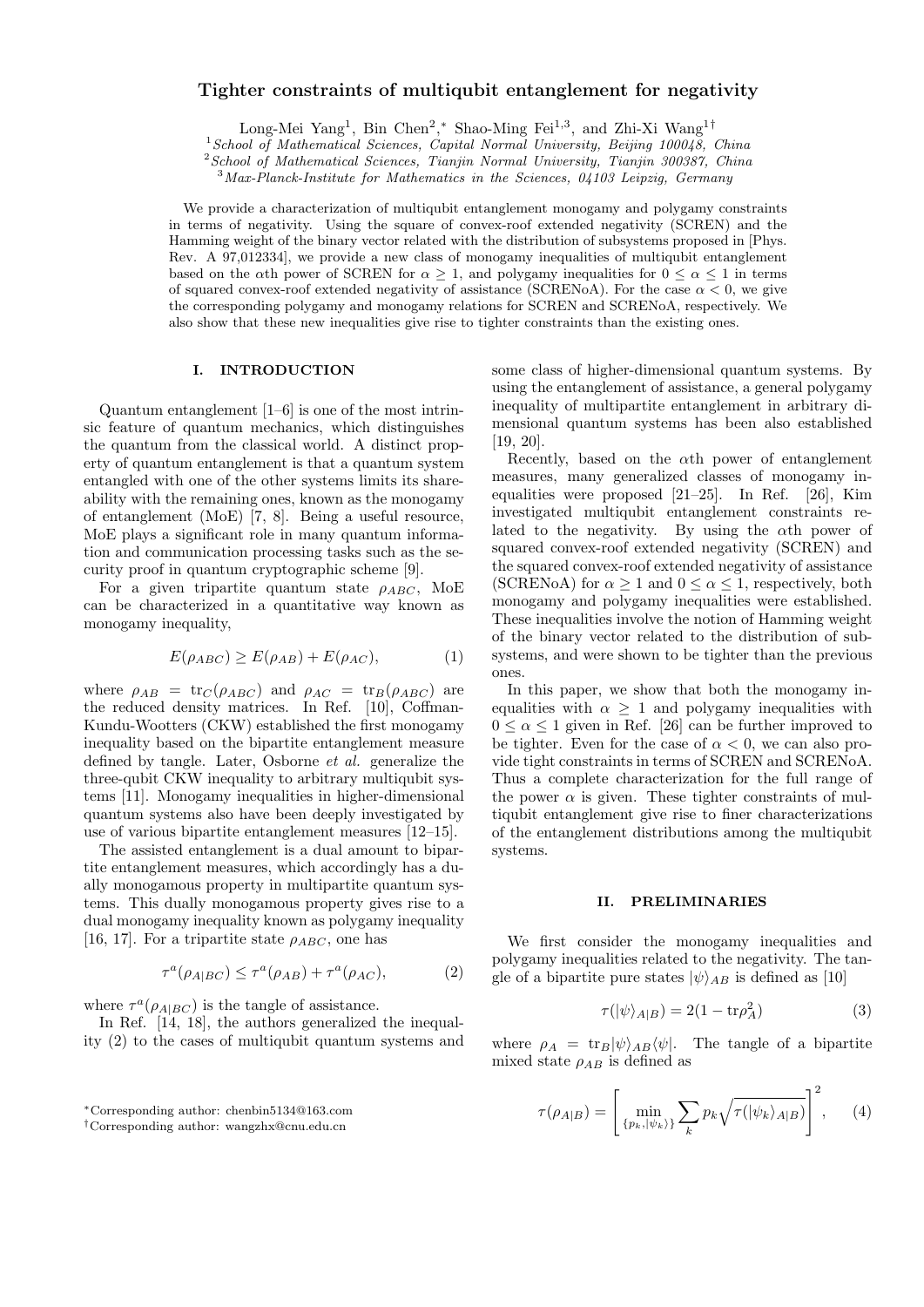# **Tighter constraints of multiqubit entanglement for negativity**

Long-Mei Yang<sup>1</sup>, Bin Chen<sup>2</sup>,\* Shao-Ming Fei<sup>1,3</sup>, and Zhi-Xi Wang<sup>1†</sup>

<sup>1</sup>*School of Mathematical Sciences, Capital Normal University, Beijing 100048, China*

<sup>2</sup>*School of Mathematical Sciences, Tianjin Normal University, Tianjin 300387, China*

<sup>3</sup>*Max-Planck-Institute for Mathematics in the Sciences, 04103 Leipzig, Germany*

We provide a characterization of multiqubit entanglement monogamy and polygamy constraints in terms of negativity. Using the square of convex-roof extended negativity (SCREN) and the Hamming weight of the binary vector related with the distribution of subsystems proposed in [Phys. Rev. A 97,012334], we provide a new class of monogamy inequalities of multiqubit entanglement based on the *α*th power of SCREN for  $\alpha \geq 1$ , and polygamy inequalities for  $0 \leq \alpha \leq 1$  in terms of squared convex-roof extended negativity of assistance (SCRENoA). For the case  $\alpha < 0$ , we give the corresponding polygamy and monogamy relations for SCREN and SCRENoA, respectively. We also show that these new inequalities give rise to tighter constraints than the existing ones.

## **I. INTRODUCTION**

Quantum entanglement [1–6] is one of the most intrinsic feature of quantum mechanics, which distinguishes the quantum from the classical world. A distinct property of quantum entanglement is that a quantum system entangled with one of the other systems limits its shareability with the remaining ones, known as the monogamy of entanglement (MoE) [7, 8]. Being a useful resource, MoE plays a significant role in many quantum information and communication processing tasks such as the security proof in quantum cryptographic scheme [9].

For a given tripartite quantum state  $\rho_{ABC}$ , MoE can be characterized in a quantitative way known as monogamy inequality,

$$
E(\rho_{ABC}) \ge E(\rho_{AB}) + E(\rho_{AC}), \tag{1}
$$

where  $\rho_{AB} = \text{tr}_C(\rho_{ABC})$  and  $\rho_{AC} = \text{tr}_B(\rho_{ABC})$  are the reduced density matrices. In Ref. [10], Coffman-Kundu-Wootters (CKW) established the first monogamy inequality based on the bipartite entanglement measure defined by tangle. Later, Osborne *et al.* generalize the three-qubit CKW inequality to arbitrary multiqubit systems [11]. Monogamy inequalities in higher-dimensional quantum systems also have been deeply investigated by use of various bipartite entanglement measures [12–15].

The assisted entanglement is a dual amount to bipartite entanglement measures, which accordingly has a dually monogamous property in multipartite quantum systems. This dually monogamous property gives rise to a dual monogamy inequality known as polygamy inequality [16, 17]. For a tripartite state  $\rho_{ABC}$ , one has

$$
\tau^{a}(\rho_{A|BC}) \leq \tau^{a}(\rho_{AB}) + \tau^{a}(\rho_{AC}), \tag{2}
$$

where  $\tau^a(\rho_{A|BC})$  is the tangle of assistance.

In Ref. [14, 18], the authors generalized the inequality (2) to the cases of multiqubit quantum systems and some class of higher-dimensional quantum systems. By using the entanglement of assistance, a general polygamy inequality of multipartite entanglement in arbitrary dimensional quantum systems has been also established [19, 20].

Recently, based on the *α*th power of entanglement measures, many generalized classes of monogamy inequalities were proposed [21–25]. In Ref. [26], Kim investigated multiqubit entanglement constraints related to the negativity. By using the *α*th power of squared convex-roof extended negativity (SCREN) and the squared convex-roof extended negativity of assistance (SCRENoA) for  $\alpha \geq 1$  and  $0 \leq \alpha \leq 1$ , respectively, both monogamy and polygamy inequalities were established. These inequalities involve the notion of Hamming weight of the binary vector related to the distribution of subsystems, and were shown to be tighter than the previous ones.

In this paper, we show that both the monogamy inequalities with  $\alpha \geq 1$  and polygamy inequalities with  $0 \leq \alpha \leq 1$  given in Ref. [26] can be further improved to be tighter. Even for the case of  $\alpha < 0$ , we can also provide tight constraints in terms of SCREN and SCRENoA. Thus a complete characterization for the full range of the power  $\alpha$  is given. These tighter constraints of multiqubit entanglement give rise to finer characterizations of the entanglement distributions among the multiqubit systems.

#### **II. PRELIMINARIES**

We first consider the monogamy inequalities and polygamy inequalities related to the negativity. The tangle of a bipartite pure states  $|\psi\rangle_{AB}$  is defined as [10]

$$
\tau(|\psi\rangle_{A|B}) = 2(1 - \text{tr}\rho_A^2) \tag{3}
$$

where  $\rho_A = \text{tr}_B |\psi\rangle_{AB} \langle \psi|$ . The tangle of a bipartite mixed state  $\rho_{AB}$  is defined as

$$
\tau(\rho_{A|B}) = \left[\min_{\{p_k, |\psi_k\rangle\}} \sum_k p_k \sqrt{\tau(|\psi_k\rangle_{A|B})}\right]^2, \qquad (4)
$$

*<sup>∗</sup>*Corresponding author: chenbin5134@163.com

*<sup>†</sup>*Corresponding author: wangzhx@cnu.edu.cn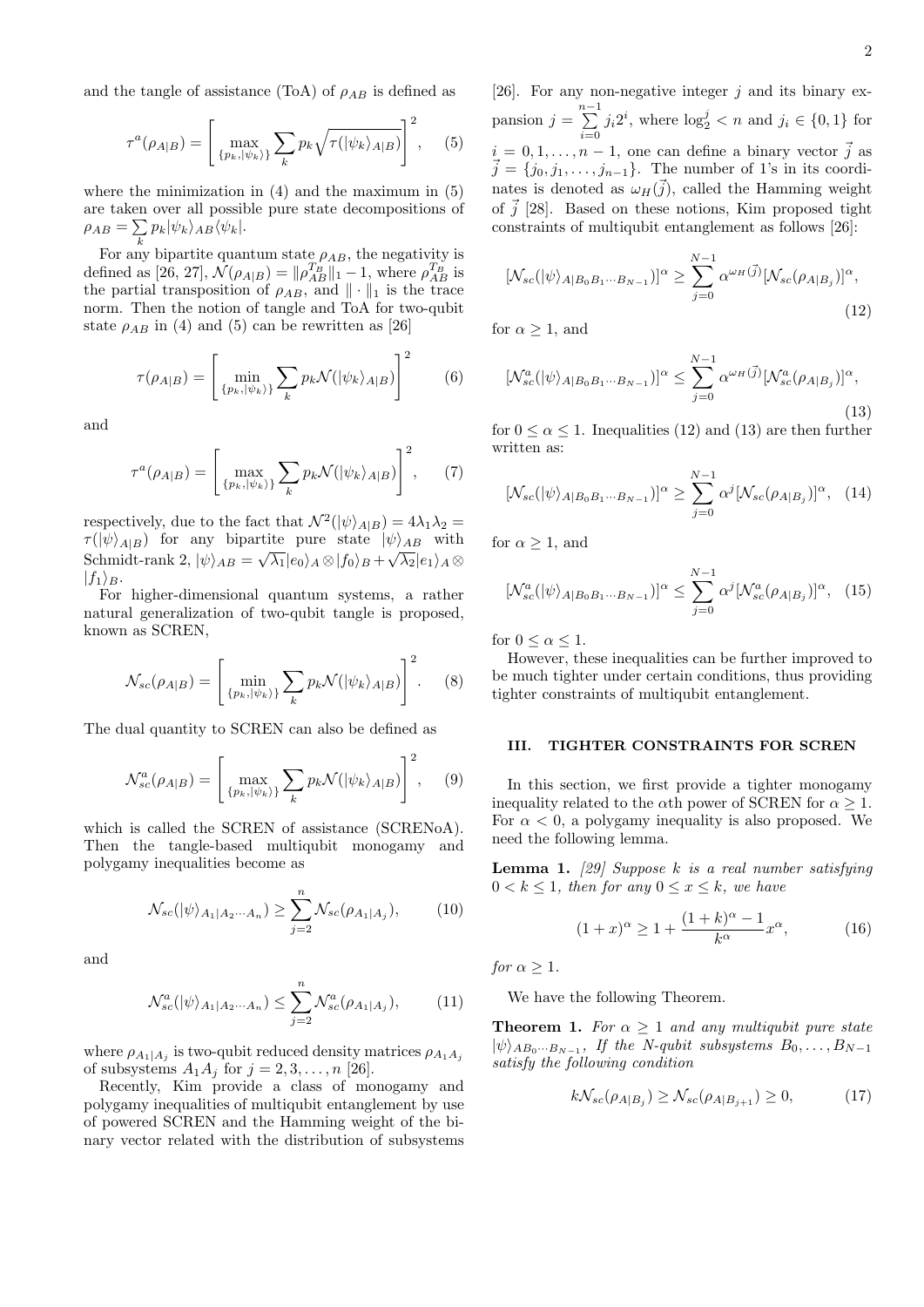and the tangle of assistance (ToA) of  $\rho_{AB}$  is defined as

$$
\tau^{a}(\rho_{A|B}) = \left[\max_{\{p_k, |\psi_k\rangle\}} \sum_{k} p_k \sqrt{\tau(|\psi_k\rangle_{A|B})}\right]^2, \quad (5)
$$

where the minimization in  $(4)$  and the maximum in  $(5)$ are taken over all possible pure state decompositions of  $\rho_{AB} = \sum$  $\sum_{k} p_k |\psi_k\rangle_{AB} \langle \psi_k|.$ 

For any bipartite quantum state  $\rho_{AB}$ , the negativity is defined as [26, 27],  $\mathcal{N}(\rho_{A|B}) = ||\rho_{AB}^{T_B}||_1 - 1$ , where  $\rho_{AB}^{T_B}$  is the partial transposition of  $\rho_{AB}$ , and  $\|\cdot\|_1$  is the trace norm. Then the notion of tangle and ToA for two-qubit state  $\rho_{AB}$  in (4) and (5) can be rewritten as [26]

$$
\tau(\rho_{A|B}) = \left[\min_{\{p_k, |\psi_k\rangle\}} \sum_k p_k \mathcal{N}(|\psi_k\rangle_{A|B})\right]^2 \tag{6}
$$

and

$$
\tau^{a}(\rho_{A|B}) = \left[\max_{\{p_k, |\psi_k\rangle\}} \sum_{k} p_k \mathcal{N}(|\psi_k\rangle_{A|B})\right]^2, \quad (7)
$$

respectively, due to the fact that  $\mathcal{N}^2(|\psi\rangle_{A|B}) = 4\lambda_1\lambda_2 =$ *τ* ( $|\psi\rangle_{AB}$ *) for any bipartite pure state*  $|\psi\rangle_{AB}$  *with*  $\mathrm{Schmidt\text{-}rank}\ 2,\, |\psi\rangle_{AB}=\sqrt{\lambda_1}|e_0\rangle_A\otimes|f_0\rangle_B+\sqrt{\lambda_2}|e_1\rangle_A\otimes$  $|f_1\rangle_B$ .

For higher-dimensional quantum systems, a rather natural generalization of two-qubit tangle is proposed, known as SCREN,

$$
\mathcal{N}_{sc}(\rho_{A|B}) = \left[\min_{\{p_k, |\psi_k\rangle\}} \sum_k p_k \mathcal{N}(|\psi_k\rangle_{A|B})\right]^2.
$$
 (8)

The dual quantity to SCREN can also be defined as

$$
\mathcal{N}_{sc}^{a}(\rho_{A|B}) = \left[\max_{\{p_k, |\psi_k\rangle\}} \sum_{k} p_k \mathcal{N}(|\psi_k\rangle_{A|B})\right]^2, \quad (9)
$$

which is called the SCREN of assistance (SCRENoA). Then the tangle-based multiqubit monogamy and polygamy inequalities become as

$$
\mathcal{N}_{sc}(|\psi\rangle_{A_1|A_2\cdots A_n}) \ge \sum_{j=2}^n \mathcal{N}_{sc}(\rho_{A_1|A_j}),\tag{10}
$$

and

$$
\mathcal{N}_{sc}^{a}(|\psi\rangle_{A_1|A_2\cdots A_n}) \leq \sum_{j=2}^{n} \mathcal{N}_{sc}^{a}(\rho_{A_1|A_j}), \qquad (11)
$$

where  $\rho_{A_1|A_j}$  is two-qubit reduced density matrices  $\rho_{A_1A_j}$ of subsystems  $A_1A_j$  for  $j = 2, 3, \ldots, n$  [26].

Recently, Kim provide a class of monogamy and polygamy inequalities of multiqubit entanglement by use of powered SCREN and the Hamming weight of the binary vector related with the distribution of subsystems

[26]. For any non-negative integer *j* and its binary ex $p$ ansion  $j = \sum_{i=1}^{n-1}$  $\sum_{i=0}^{n} j_i 2^i$ , where  $\log_2^j < n$  and  $j_i \in \{0, 1\}$  for  $i = 0, 1, \ldots, n-1$ , one can define a binary vector  $\vec{j}$  as  $\vec{j} = \{j_0, j_1, \ldots, j_{n-1}\}.$  The number of 1's in its coordinates is denoted as  $\omega_H(\vec{j})$ , called the Hamming weight of  $\vec{j}$  [28]. Based on these notions, Kim proposed tight constraints of multiqubit entanglement as follows [26]:

$$
[\mathcal{N}_{sc}(|\psi\rangle_{A|B_0B_1\cdots B_{N-1}})]^{\alpha} \ge \sum_{j=0}^{N-1} \alpha^{\omega_H(\vec{j})} [\mathcal{N}_{sc}(\rho_{A|B_j})]^{\alpha},\tag{12}
$$

for  $\alpha \geq 1$ , and

$$
[\mathcal{N}_{sc}^{a}(|\psi\rangle_{A|B_0B_1\cdots B_{N-1}})]^{\alpha} \leq \sum_{j=0}^{N-1} \alpha^{\omega_H(\vec{j})} [\mathcal{N}_{sc}^{a}(\rho_{A|B_j})]^{\alpha},\tag{13}
$$

for  $0 \le \alpha \le 1$ . Inequalities (12) and (13) are then further written as:

$$
[\mathcal{N}_{sc}(|\psi\rangle_{A|B_0B_1\cdots B_{N-1}})]^{\alpha} \ge \sum_{j=0}^{N-1} \alpha^j [\mathcal{N}_{sc}(\rho_{A|B_j})]^{\alpha}, \quad (14)
$$

for  $\alpha \geq 1$ , and

$$
[\mathcal{N}_{sc}^{a}(|\psi\rangle_{A|B_0B_1\cdots B_{N-1}})]^{\alpha} \le \sum_{j=0}^{N-1} \alpha^j [\mathcal{N}_{sc}^{a}(\rho_{A|B_j})]^{\alpha}, \quad (15)
$$

for  $0 \leq \alpha \leq 1$ .

However, these inequalities can be further improved to be much tighter under certain conditions, thus providing tighter constraints of multiqubit entanglement.

#### **III. TIGHTER CONSTRAINTS FOR SCREN**

In this section, we first provide a tighter monogamy inequality related to the  $\alpha$ <sup>th</sup> power of SCREN for  $\alpha \geq 1$ . For  $\alpha < 0$ , a polygamy inequality is also proposed. We need the following lemma.

**Lemma 1.** *[29] Suppose k is a real number satisfying*  $0 < k \leq 1$ , then for any  $0 \leq x \leq k$ , we have

$$
(1+x)^{\alpha} \ge 1 + \frac{(1+k)^{\alpha} - 1}{k^{\alpha}} x^{\alpha},
$$
 (16)

*for*  $\alpha > 1$ *.* 

We have the following Theorem.

**Theorem 1.** *For*  $\alpha \geq 1$  *and any multiqubit pure state*  $|\psi\rangle_{AB_0\cdots B_{N-1}}$ , *If the N-qubit subsystems*  $B_0, \ldots, B_{N-1}$ *satisfy the following condition*

$$
k\mathcal{N}_{sc}(\rho_{A|B_j}) \ge \mathcal{N}_{sc}(\rho_{A|B_{j+1}}) \ge 0,
$$
\n(17)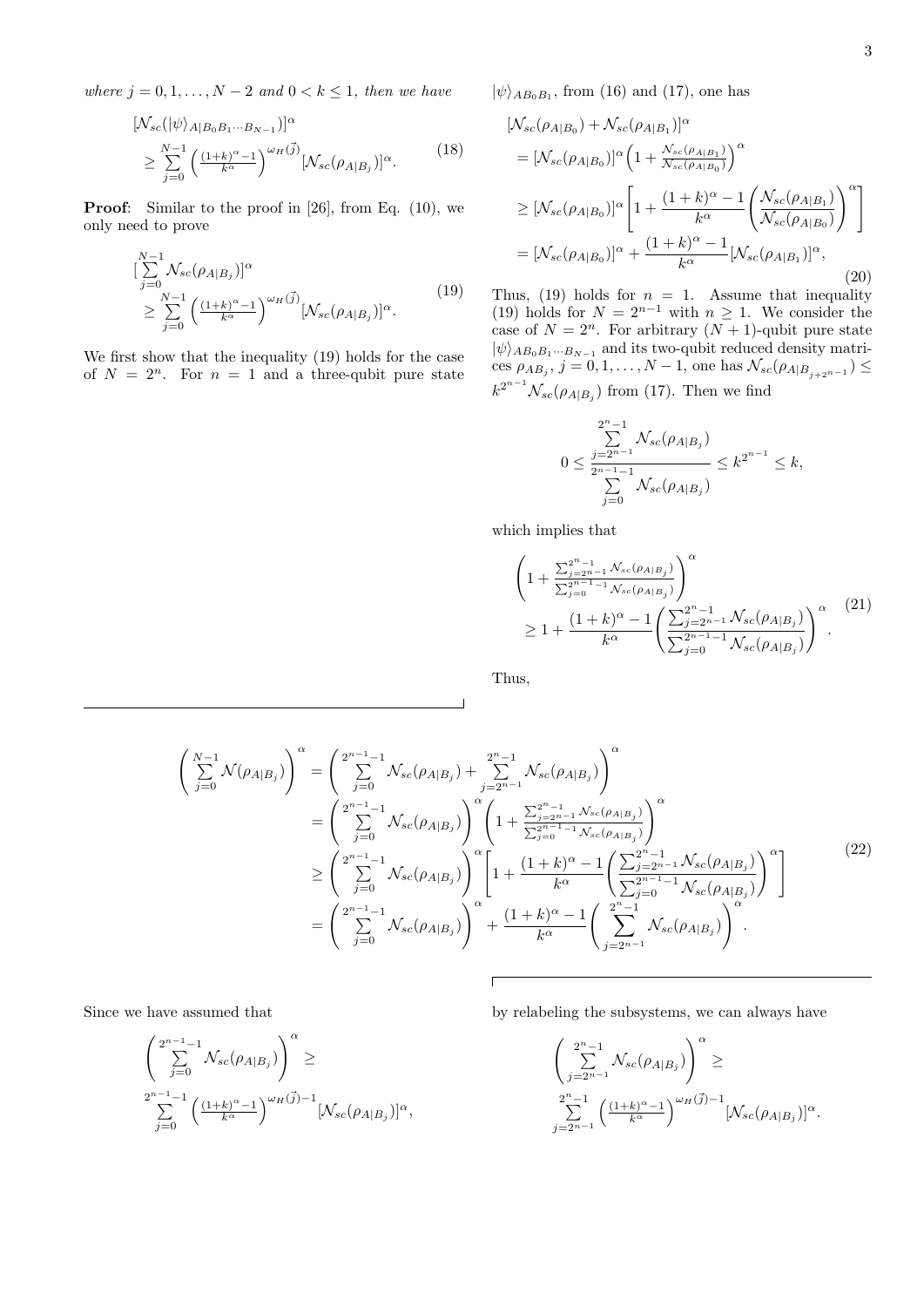*where*  $j = 0, 1, \ldots, N - 2$  *and*  $0 < k \leq 1$ *, then we have* 

$$
[\mathcal{N}_{sc}(|\psi\rangle_{A|B_0B_1\cdots B_{N-1}})]^{\alpha}
$$
  
\n
$$
\geq \sum_{j=0}^{N-1} \left(\frac{(1+k)^{\alpha}-1}{k^{\alpha}}\right)^{\omega_H(\vec{j})} [\mathcal{N}_{sc}(\rho_{A|B_j})]^{\alpha}.
$$
 (18)

**Proof**: Similar to the proof in [26], from Eq. (10), we only need to prove

$$
\begin{aligned}\n&\left[\sum_{j=0}^{N-1} \mathcal{N}_{sc}(\rho_{A|B_j})\right]^{\alpha} \\
&\geq \sum_{j=0}^{N-1} \left(\frac{(1+k)^{\alpha}-1}{k^{\alpha}}\right)^{\omega_H(\vec{j})} [\mathcal{N}_{sc}(\rho_{A|B_j})]^{\alpha}.\n\end{aligned} \tag{19}
$$

We first show that the inequality (19) holds for the case of  $N = 2^n$ . For  $n = 1$  and a three-qubit pure state  $|\psi\rangle_{AB_0B_1}$ , from (16) and (17), one has

$$
[\mathcal{N}_{sc}(\rho_{A|B_{0}}) + \mathcal{N}_{sc}(\rho_{A|B_{1}})]^{\alpha}
$$
  
\n
$$
= [\mathcal{N}_{sc}(\rho_{A|B_{0}})]^{\alpha} \left(1 + \frac{\mathcal{N}_{sc}(\rho_{A|B_{1}})}{\mathcal{N}_{sc}(\rho_{A|B_{0}})}\right)^{\alpha}
$$
  
\n
$$
\geq [\mathcal{N}_{sc}(\rho_{A|B_{0}})]^{\alpha} \left[1 + \frac{(1+k)^{\alpha} - 1}{k^{\alpha}} \left(\frac{\mathcal{N}_{sc}(\rho_{A|B_{1}})}{\mathcal{N}_{sc}(\rho_{A|B_{0}})}\right)^{\alpha}\right]
$$
  
\n
$$
= [\mathcal{N}_{sc}(\rho_{A|B_{0}})]^{\alpha} + \frac{(1+k)^{\alpha} - 1}{k^{\alpha}} [\mathcal{N}_{sc}(\rho_{A|B_{1}})]^{\alpha}, \tag{20}
$$

Thus,  $(19)$  holds for  $n = 1$ . Assume that inequality (19) holds for  $N = 2^{n-1}$  with  $n \geq 1$ . We consider the case of  $N = 2^n$ . For arbitrary  $(N + 1)$ -qubit pure state  $|\psi\rangle_{AB_0B_1\cdots B_{N-1}}$  and its two-qubit reduced density matri- $\cos \rho_{AB_j}, j = 0, 1, \ldots, N - 1$ , one has  $\mathcal{N}_{sc}(\rho_{A|B_{j+2^{n-1}}}) \leq$  $k^{2^{n-1}}\mathcal{N}_{sc}(\rho_{A|B_j})$  from (17). Then we find

$$
0 \le \frac{\sum_{j=2^{n-1}}^{2^n-1} \mathcal{N}_{sc}(\rho_{A|B_j})}{\sum_{j=0}^{2^{n-1}-1} \mathcal{N}_{sc}(\rho_{A|B_j})} \le k^{2^{n-1}} \le k,
$$

which implies that

$$
\left(1 + \frac{\sum_{j=2^{n-1}}^{2^{n-1}} N_{sc}(\rho_{A|B_j})}{\sum_{j=0}^{2^{n-1}-1} N_{sc}(\rho_{A|B_j})}\right)^{\alpha}
$$
\n
$$
\geq 1 + \frac{(1+k)^{\alpha} - 1}{k^{\alpha}} \left(\frac{\sum_{j=2^{n-1}}^{2^{n-1}} N_{sc}(\rho_{A|B_j})}{\sum_{j=0}^{2^{n-1}-1} N_{sc}(\rho_{A|B_j})}\right)^{\alpha}.
$$
\n(21)

Thus,

$$
\begin{split}\n\left(\sum_{j=0}^{N-1} \mathcal{N}(\rho_{A|B_j})\right)^{\alpha} &= \left(\sum_{j=0}^{2^{n-1}-1} \mathcal{N}_{sc}(\rho_{A|B_j}) + \sum_{j=2^{n-1}}^{2^{n}-1} \mathcal{N}_{sc}(\rho_{A|B_j})\right)^{\alpha} \\
&= \left(\sum_{j=0}^{2^{n-1}-1} \mathcal{N}_{sc}(\rho_{A|B_j})\right)^{\alpha} \left(1 + \frac{\sum_{j=2^{n-1}}^{2^{n}-1} \mathcal{N}_{sc}(\rho_{A|B_j})}{\sum_{j=0}^{2^{n}-1} \mathcal{N}_{sc}(\rho_{A|B_j})}\right)^{\alpha} \\
&\geq \left(\sum_{j=0}^{2^{n-1}-1} \mathcal{N}_{sc}(\rho_{A|B_j})\right)^{\alpha} \left[1 + \frac{(1+k)^{\alpha}-1}{k^{\alpha}} \left(\sum_{j=2^{n-1}-1}^{2^{n}-1} \mathcal{N}_{sc}(\rho_{A|B_j})\right)^{\alpha}\right] \\
&= \left(\sum_{j=0}^{2^{n-1}-1} \mathcal{N}_{sc}(\rho_{A|B_j})\right)^{\alpha} + \frac{(1+k)^{\alpha}-1}{k^{\alpha}} \left(\sum_{j=2^{n-1}}^{2^{n}-1} \mathcal{N}_{sc}(\rho_{A|B_j})\right)^{\alpha}.\n\end{split} \tag{22}
$$

Since we have assumed that

$$
\left(\sum_{j=0}^{2^{n-1}-1} \mathcal{N}_{sc}(\rho_{A|B_j})\right)^{\alpha} \ge
$$
  

$$
\sum_{j=0}^{2^{n-1}-1} \left(\frac{(1+k)^{\alpha}-1}{k^{\alpha}}\right)^{\omega_H(\vec{j})-1} [\mathcal{N}_{sc}(\rho_{A|B_j})]^{\alpha},
$$

by relabeling the subsystems, we can always have

$$
\left(\sum_{j=2^{n-1}}^{2^n-1} \mathcal{N}_{sc}(\rho_{A|B_j})\right)^{\alpha} \ge
$$
  

$$
\sum_{j=2^{n-1}}^{2^n-1} \left(\frac{(1+k)^{\alpha}-1}{k^{\alpha}}\right)^{\omega_H(\vec{j})-1} [\mathcal{N}_{sc}(\rho_{A|B_j})]^{\alpha}.
$$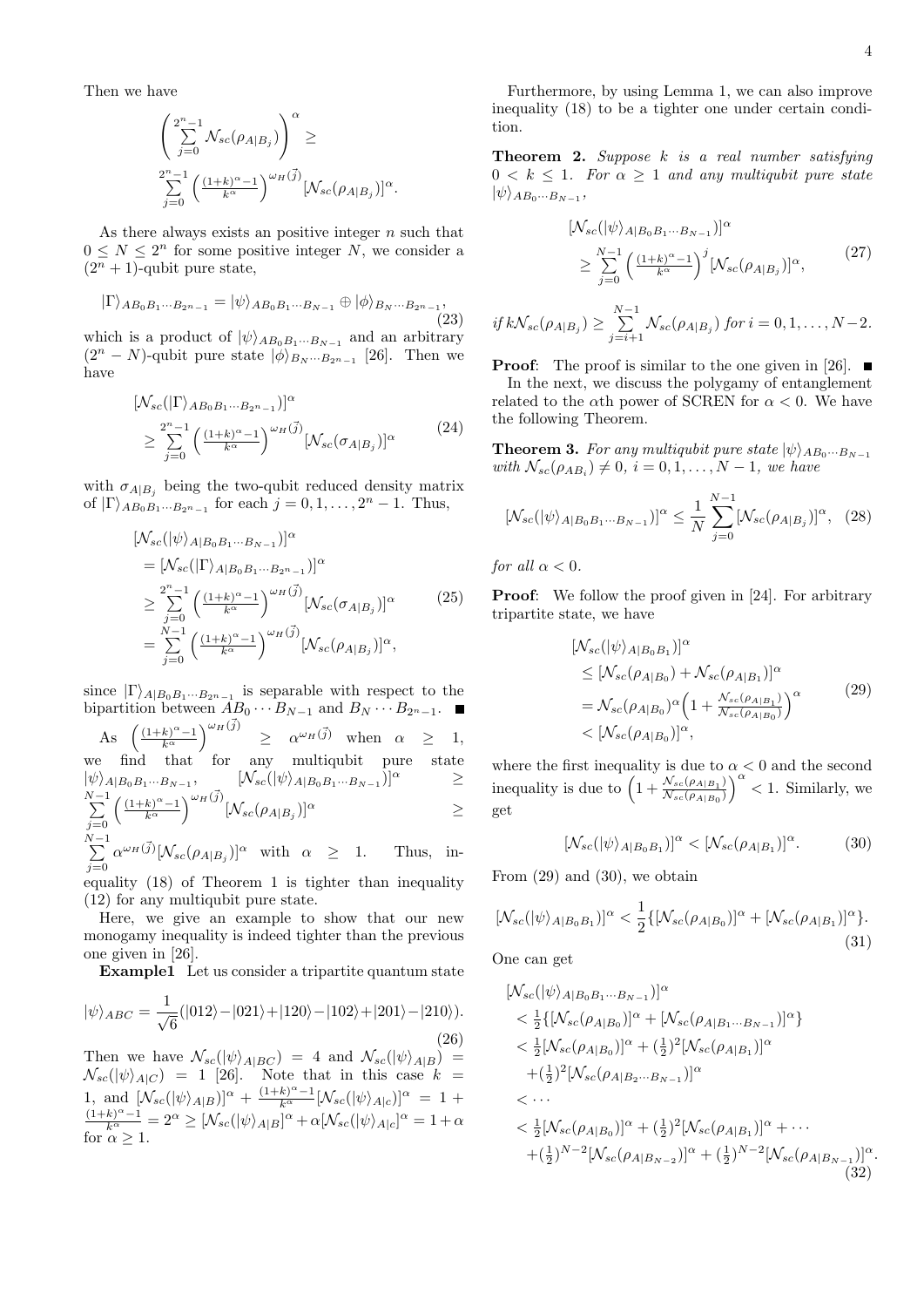Then we have

$$
\left(\sum_{j=0}^{2^n-1} \mathcal{N}_{sc}(\rho_{A|B_j})\right)^\alpha \ge
$$
  

$$
\sum_{j=0}^{2^n-1} \left(\frac{(1+k)^\alpha-1}{k^\alpha}\right)^{\omega_H(\vec{j})} [\mathcal{N}_{sc}(\rho_{A|B_j})]^\alpha.
$$

As there always exists an positive integer *n* such that  $0 \leq N \leq 2^n$  for some positive integer *N*, we consider a  $(2<sup>n</sup> + 1)$ -qubit pure state,

$$
|\Gamma\rangle_{AB_0B_1\cdots B_{2^n-1}} = |\psi\rangle_{AB_0B_1\cdots B_{N-1}} \oplus |\phi\rangle_{B_N\cdots B_{2^n-1}},
$$
\nwhich is a product of  $| \psi \rangle_{AB_0B_1\cdots B_{2^n}}$  and an arbitrary

which is a product of  $|\psi\rangle_{AB_0B_1\cdots B_{N-1}}$  and an arbitrary  $(2^n - N)$ -qubit pure state  $|\phi\rangle_{B_N\cdots B_{2^n-1}}$  [26]. Then we have

$$
[\mathcal{N}_{sc}(|\Gamma\rangle_{AB_0B_1\cdots B_{2^n-1}})]^{\alpha}
$$
  
\n
$$
\geq \sum_{j=0}^{2^n-1} \left(\frac{(1+k)^{\alpha}-1}{k^{\alpha}}\right)^{\omega_H(\vec{j})} [\mathcal{N}_{sc}(\sigma_{A|B_j})]^{\alpha}
$$
(24)

with  $\sigma_{A|B_j}$  being the two-qubit reduced density matrix of  $|\Gamma\rangle_{AB_0B_1\cdots B_{2^n-1}}$  for each  $j = 0, 1, \ldots, 2^n - 1$ . Thus,

$$
\begin{split} &\left[N_{sc}(|\psi\rangle_{A|B_{0}B_{1}\cdots B_{N-1}})\right]^{\alpha} \\ &=\left[N_{sc}(|\Gamma\rangle_{A|B_{0}B_{1}\cdots B_{2^{n}-1}})\right]^{\alpha} \\ &\geq \sum_{j=0}^{2^{n}-1}\left(\frac{(1+k)^{\alpha}-1}{k^{\alpha}}\right)^{\omega_{H}(\vec{j})}\left[N_{sc}(\sigma_{A|B_{j}})\right]^{\alpha} \\ &=\sum_{j=0}^{N-1}\left(\frac{(1+k)^{\alpha}-1}{k^{\alpha}}\right)^{\omega_{H}(\vec{j})}\left[N_{sc}(\rho_{A|B_{j}})\right]^{\alpha}, \end{split} \tag{25}
$$

since  $|\Gamma\rangle_{A|B_0B_1\cdots B_{2^n-1}}$  is separable with respect to the bipartition between  $\overrightarrow{AB_0} \cdots \overrightarrow{B_{N-1}}$  and  $B_N \cdots B_{2^n-1}$ .

As  $\left( \frac{(1+k)^{\alpha}-1}{k^{\alpha}} \right)$ *k<sup>α</sup>*  $\left| \begin{array}{cc} \omega_H(\vec{j}) & \geq \alpha \omega_H(\vec{j}) & \text{when} \alpha \geq 1, \end{array} \right.$ we find that for any multiqubit pure state  $|\psi\rangle_{A|B_0B_1\cdots B_{N-1}},\qquad \ \ \left[ \mathcal{N}_{sc}(|\psi\rangle_{A|B_0B_1\cdots B_{N-1}})\right]^\alpha\qquad \ \ \geq$ *N* ∑*−*1 *j*=0  $(1+k)^{\alpha}-1$ *k<sup>α</sup>*  $\int^{\omega_H(\vec{j})} [\mathcal{N}_{sc}(\rho_{A|B_j})]^{\alpha}$  *≥ N* ∑*−*1  $\alpha^{\omega_H(\vec{j})} [\mathcal{N}_{sc}(\rho_{A|B_j})]^{\alpha}$  with  $\alpha \geq 1$ . Thus, in-

*j*=0 equality (18) of Theorem 1 is tighter than inequality (12) for any multiqubit pure state.

Here, we give an example to show that our new monogamy inequality is indeed tighter than the previous one given in [26].

**Example1** Let us consider a tripartite quantum state

$$
|\psi\rangle_{ABC} = \frac{1}{\sqrt{6}}(|012\rangle - |021\rangle + |120\rangle - |102\rangle + |201\rangle - |210\rangle).
$$
\n(26)

Then we have  $\mathcal{N}_{sc}(|\psi\rangle_{A|BC}) = 4$  and  $\mathcal{N}_{sc}(|\psi\rangle_{A|B}) =$  $\mathcal{N}_{sc}(|\psi\rangle_{A|C}) = 1$  [26]. Note that in this case  $k =$ 1, and  $[\mathcal{N}_{sc}(|\psi\rangle_{A|B})]^{\alpha} + \frac{(1+k)^{\alpha}-1}{k^{\alpha}} [\mathcal{N}_{sc}(|\psi\rangle_{A|c})]^{\alpha} = 1 + \frac{(1+k)^{\alpha}-1}{k^{\alpha}} = 2^{\alpha} \geq [\mathcal{N}_{sc}(|\psi\rangle_{A|B}]^{\alpha} + \alpha [\mathcal{N}_{sc}(|\psi\rangle_{A|c}]^{\alpha} = 1 + \alpha$ for  $\alpha > 1$ .

Furthermore, by using Lemma 1, we can also improve inequality (18) to be a tighter one under certain condition.

**Theorem 2.** *Suppose k is a real number satisfying*  $0 \leq k \leq 1$ *. For*  $\alpha \geq 1$  *and any multiqubit pure state*  $|\psi\rangle_{AB_0\cdots B_{N-1}}$ 

$$
[N_{sc}(|\psi\rangle_{A|B_0B_1\cdots B_{N-1}})]^{\alpha}
$$
  
\n
$$
\geq \sum_{j=0}^{N-1} \left(\frac{(1+k)^{\alpha}-1}{k^{\alpha}}\right)^j [N_{sc}(\rho_{A|B_j})]^{\alpha},
$$
  
\n
$$
if kN_{sc}(\rho_{A|B_j}) \geq \sum_{j=i+1}^{N-1} N_{sc}(\rho_{A|B_j}) \text{ for } i = 0, 1, ..., N-2.
$$

**Proof:** The proof is similar to the one given in [26]. ■ In the next, we discuss the polygamy of entanglement related to the  $\alpha$ th power of SCREN for  $\alpha < 0$ . We have the following Theorem.

**Theorem 3.** *For any multiqubit pure state*  $|\psi\rangle_{AB_0\cdots B_{N-1}}$  $with \mathcal{N}_{sc}(\rho_{AB_i}) \neq 0, i = 0, 1, \ldots, N-1, we have$ 

$$
[\mathcal{N}_{sc}(|\psi\rangle_{A|B_0B_1\cdots B_{N-1}})]^{\alpha} \le \frac{1}{N} \sum_{j=0}^{N-1} [\mathcal{N}_{sc}(\rho_{A|B_j})]^{\alpha}, \quad (28)
$$

*for all*  $\alpha$  < 0*.* 

**Proof:** We follow the proof given in [24]. For arbitrary tripartite state, we have

$$
[N_{sc}(|\psi\rangle_{A|B_0B_1})]^{\alpha}
$$
  
\n
$$
\leq [N_{sc}(\rho_{A|B_0}) + N_{sc}(\rho_{A|B_1})]^{\alpha}
$$
  
\n
$$
= N_{sc}(\rho_{A|B_0})^{\alpha} \left(1 + \frac{N_{sc}(\rho_{A|B_1})}{N_{sc}(\rho_{A|B_0})}\right)^{\alpha}
$$
  
\n
$$
< [N_{sc}(\rho_{A|B_0})]^{\alpha}, \qquad (29)
$$

where the first inequality is due to  $\alpha < 0$  and the second inequality is due to  $\left(1 + \frac{N_{sc}(\rho_{A|B_1})}{N_{s}(\rho_{A|B_1})}\right)$  $\mathcal{N}_{sc}(\rho_{A|B_0})$  $\int_0^\alpha$  < 1. Similarly, we get

$$
[\mathcal{N}_{sc}(|\psi\rangle_{A|B_0B_1})]^{\alpha} < [\mathcal{N}_{sc}(\rho_{A|B_1})]^{\alpha}.
$$
 (30)

From  $(29)$  and  $(30)$ , we obtain

$$
[\mathcal{N}_{sc}(|\psi\rangle_{A|B_0B_1})]^{\alpha} < \frac{1}{2} \{ [\mathcal{N}_{sc}(\rho_{A|B_0})]^{\alpha} + [\mathcal{N}_{sc}(\rho_{A|B_1})]^{\alpha} \}.
$$
\n(31)

One can get

$$
[N_{sc}(|\psi\rangle_{A|B_{0}B_{1}\cdots B_{N-1}})]^{\alpha}
$$
  

$$
< \frac{1}{2} \{ [N_{sc}(\rho_{A|B_{0}})]^{\alpha} + [N_{sc}(\rho_{A|B_{1}\cdots B_{N-1}})]^{\alpha} \}
$$
  

$$
< \frac{1}{2} [N_{sc}(\rho_{A|B_{0}})]^{\alpha} + (\frac{1}{2})^{2} [N_{sc}(\rho_{A|B_{1}})]^{\alpha}
$$
  

$$
+ (\frac{1}{2})^{2} [N_{sc}(\rho_{A|B_{2}\cdots B_{N-1}})]^{\alpha}
$$
  

$$
< \cdots
$$
  

$$
< \frac{1}{2} [N_{sc}(\rho_{A|B_{0}})]^{\alpha} + (\frac{1}{2})^{2} [N_{sc}(\rho_{A|B_{1}})]^{\alpha} + \cdots
$$
  

$$
+ (\frac{1}{2})^{N-2} [N_{sc}(\rho_{A|B_{N-2}})]^{\alpha} + (\frac{1}{2})^{N-2} [N_{sc}(\rho_{A|B_{N-1}})]^{\alpha}
$$
  
(32)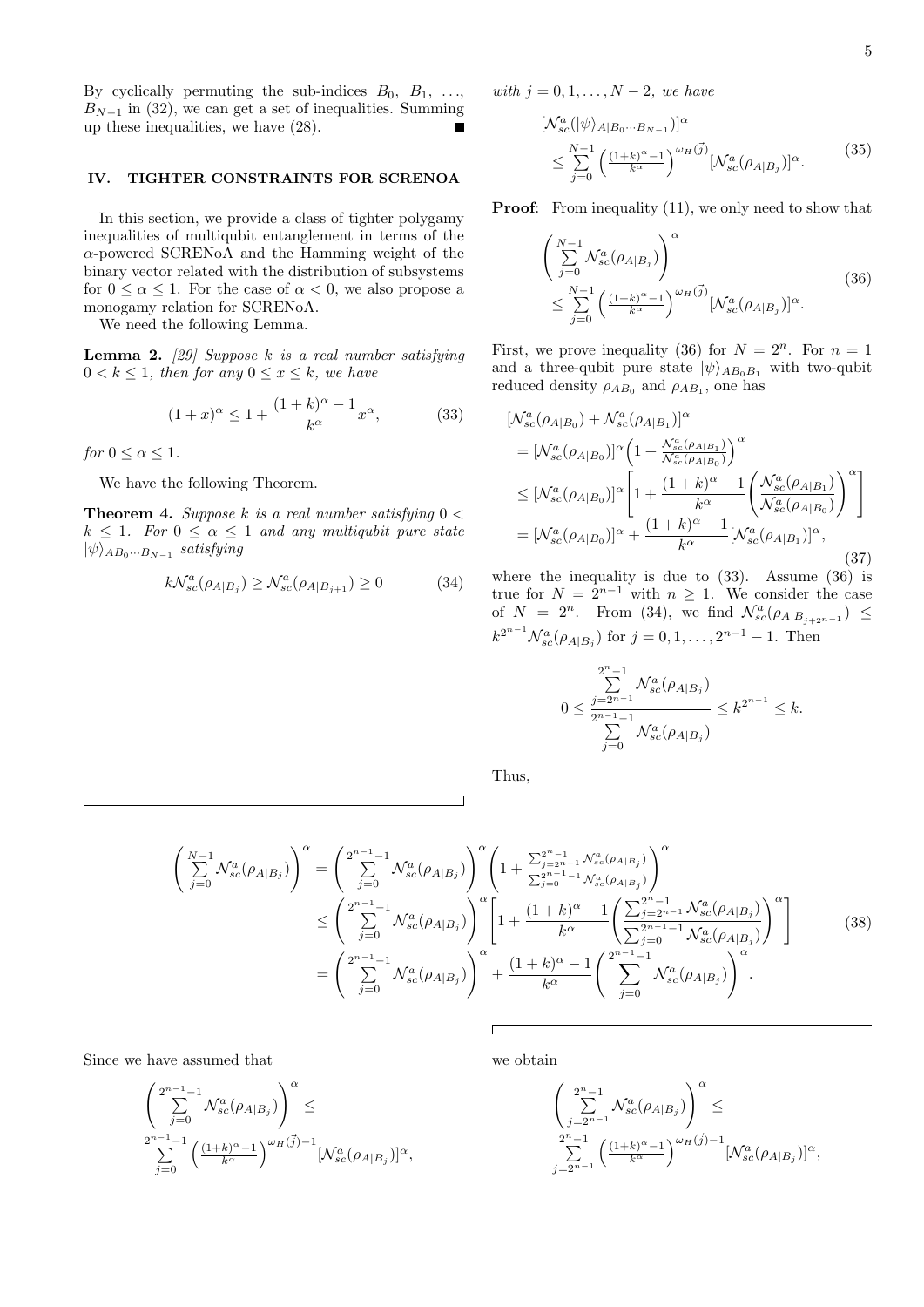By cyclically permuting the sub-indices *B*0, *B*1*, . . .*,  $B_{N-1}$  in (32), we can get a set of inequalities. Summing up these inequalities, we have (28).

# **IV. TIGHTER CONSTRAINTS FOR SCRENOA**

In this section, we provide a class of tighter polygamy inequalities of multiqubit entanglement in terms of the *α*-powered SCRENoA and the Hamming weight of the binary vector related with the distribution of subsystems for  $0 \leq \alpha \leq 1$ . For the case of  $\alpha < 0$ , we also propose a monogamy relation for SCRENoA.

We need the following Lemma.

**Lemma 2.** *[29] Suppose k is a real number satisfying*  $0 < k \leq 1$ *, then for any*  $0 \leq x \leq k$ *, we have* 

$$
(1+x)^{\alpha} \le 1 + \frac{(1+k)^{\alpha} - 1}{k^{\alpha}} x^{\alpha},
$$
 (33)

*for*  $0 \leq \alpha \leq 1$ *.* 

We have the following Theorem.

**Theorem 4.** *Suppose k is a real number satisfying* 0 *<*  $k \leq 1$ *. For*  $0 \leq \alpha \leq 1$  *and any multiqubit pure state*  $|\psi\rangle_{AB_0\cdots B_{N-1}}$  *satisfying* 

$$
k\mathcal{N}_{sc}^{a}(\rho_{A|B_j}) \ge \mathcal{N}_{sc}^{a}(\rho_{A|B_{j+1}}) \ge 0
$$
\n(34)

*with j* = 0*,* 1*, . . . , N −* 2*, we have*

$$
\begin{split} &\left[\mathcal{N}_{sc}^{a}(|\psi\rangle_{A|B_{0}\cdots B_{N-1}})\right]^{\alpha} \\ &\leq \sum_{j=0}^{N-1} \left(\frac{(1+k)^{\alpha}-1}{k^{\alpha}}\right)^{\omega_{H}(\vec{j})} [\mathcal{N}_{sc}^{a}(\rho_{A|B_{j}})]^{\alpha} . \end{split} \tag{35}
$$

**Proof:** From inequality (11), we only need to show that

$$
\left(\sum_{j=0}^{N-1} \mathcal{N}_{sc}^a(\rho_{A|B_j})\right)^\alpha
$$
\n
$$
\leq \sum_{j=0}^{N-1} \left(\frac{(1+k)^\alpha - 1}{k^\alpha}\right)^{\omega_H(\vec{j})} [\mathcal{N}_{sc}^a(\rho_{A|B_j})]^\alpha.
$$
\n(36)

First, we prove inequality (36) for  $N = 2^n$ . For  $n = 1$ and a three-qubit pure state  $|\psi\rangle_{AB_0B_1}$  with two-qubit reduced density  $\rho_{AB_0}$  and  $\rho_{AB_1}$ , one has

$$
[\mathcal{N}_{sc}^{a}(\rho_{A|B_{0}}) + \mathcal{N}_{sc}^{a}(\rho_{A|B_{1}})]^{\alpha}
$$
  
\n
$$
= [\mathcal{N}_{sc}^{a}(\rho_{A|B_{0}})]^{\alpha} \left(1 + \frac{\mathcal{N}_{sc}^{a}(\rho_{A|B_{1}})}{\mathcal{N}_{sc}^{a}(\rho_{A|B_{0}})}\right)^{\alpha}
$$
  
\n
$$
\leq [\mathcal{N}_{sc}^{a}(\rho_{A|B_{0}})]^{\alpha} \left[1 + \frac{(1+k)^{\alpha} - 1}{k^{\alpha}} \left(\frac{\mathcal{N}_{sc}^{a}(\rho_{A|B_{1}})}{\mathcal{N}_{sc}^{a}(\rho_{A|B_{0}})}\right)^{\alpha}\right]
$$
  
\n
$$
= [\mathcal{N}_{sc}^{a}(\rho_{A|B_{0}})]^{\alpha} + \frac{(1+k)^{\alpha} - 1}{k^{\alpha}} [\mathcal{N}_{sc}^{a}(\rho_{A|B_{1}})]^{\alpha}, \tag{37}
$$

where the inequality is due to  $(33)$ . Assume  $(36)$  is true for  $N = 2^{n-1}$  with  $n \geq 1$ . We consider the case of  $N = 2^n$ . From (34), we find  $\mathcal{N}_{sc}^a(\rho_{A|B_{j+2^{n-1}}}) \leq$  $k^{2^{n-1}}\mathcal{N}_{sc}^{a}(\rho_{A|B_j})$  for  $j = 0, 1, ..., 2^{n-1} - 1$ . Then

$$
0 \le \frac{\sum\limits_{j=2^{n-1}}^{2^n-1} \mathcal{N}_{sc}^a(\rho_{A|B_j})}{\sum\limits_{j=0}^{2^{n-1}-1} \mathcal{N}_{sc}^a(\rho_{A|B_j})} \le k^{2^{n-1}} \le k.
$$

Thus,

$$
\begin{split}\n\left(\sum_{j=0}^{N-1} \mathcal{N}_{sc}^{a}(\rho_{A|B_{j}})\right)^{\alpha} &= \left(\sum_{j=0}^{2^{n-1}-1} \mathcal{N}_{sc}^{a}(\rho_{A|B_{j}})\right)^{\alpha} \left(1 + \frac{\sum_{j=2^{n-1}}^{2^{n-1}-1} \mathcal{N}_{sc}^{a}(\rho_{A|B_{j}})}{\sum_{j=0}^{2^{n-1}-1} \mathcal{N}_{sc}^{a}(\rho_{A|B_{j}})}\right)^{\alpha} \\
&\leq \left(\sum_{j=0}^{2^{n-1}-1} \mathcal{N}_{sc}^{a}(\rho_{A|B_{j}})\right)^{\alpha} \left[1 + \frac{(1+k)^{\alpha}-1}{k^{\alpha}} \left(\frac{\sum_{j=2^{n-1}}^{2^{n-1}-1} \mathcal{N}_{sc}^{a}(\rho_{A|B_{j}})}{\sum_{j=0}^{2^{n-1}-1} \mathcal{N}_{sc}^{a}(\rho_{A|B_{j}})}\right)^{\alpha}\right] \\
&= \left(\sum_{j=0}^{2^{n-1}-1} \mathcal{N}_{sc}^{a}(\rho_{A|B_{j}})\right)^{\alpha} + \frac{(1+k)^{\alpha}-1}{k^{\alpha}} \left(\sum_{j=0}^{2^{n-1}-1} \mathcal{N}_{sc}^{a}(\rho_{A|B_{j}})\right)^{\alpha}.\n\end{split} \tag{38}
$$

Since we have assumed that

$$
\begin{array}{l} \displaystyle \left( \sum_{j=0}^{2^{n-1}-1} \mathcal{N}_{sc}^a(\rho_{A|B_j}) \right)^{\alpha} \leq \\ \sum_{j=0}^{2^{n-1}-1} \left( \frac{(1+k)^{\alpha}-1}{k^{\alpha}} \right)^{\omega_H(\vec{j})-1} [\mathcal{N}_{sc}^a(\rho_{A|B_j})]^{\alpha}, \end{array}
$$

we obtain

$$
\begin{array}{l} \displaystyle \left(\sum_{j=2^{n-1}}^{2^n-1} \mathcal{N}_{sc}^a(\rho_{A|B_j})\right)^\alpha\leq \\ \sum_{j=2^{n-1}}^{2^n-1} \left(\frac{(1+k)^\alpha-1}{k^\alpha}\right)^{\omega_H(\vec{j})-1}[\mathcal{N}_{sc}^a(\rho_{A|B_j})]^\alpha, \end{array}
$$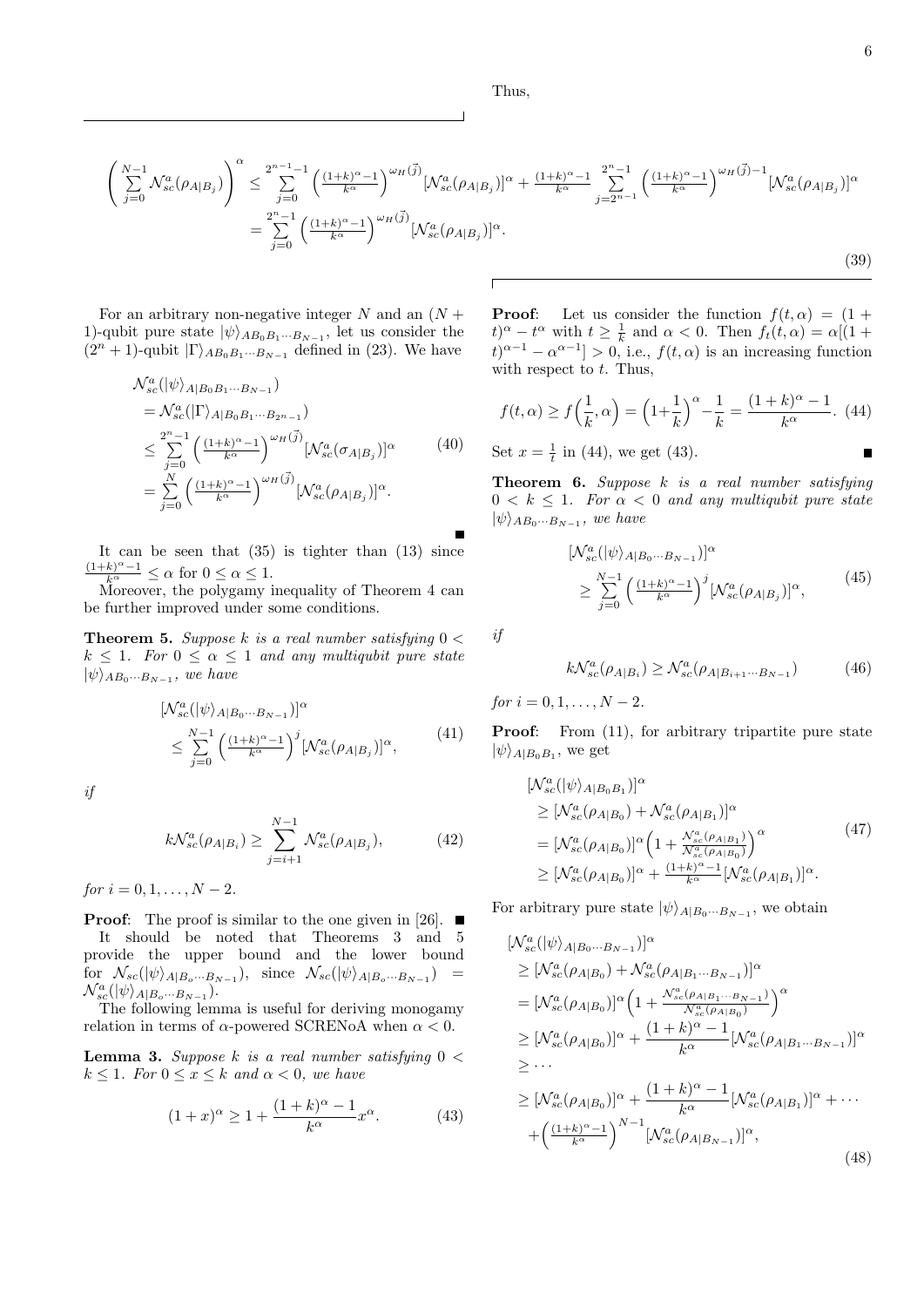Thus,

П

$$
\left(\sum_{j=0}^{N-1} \mathcal{N}_{sc}^{a}(\rho_{A|B_j})\right)^{\alpha} \leq \sum_{j=0}^{2^{n-1}-1} \left(\frac{(1+k)^{\alpha}-1}{k^{\alpha}}\right)^{\omega_H(\vec{j})} [\mathcal{N}_{sc}^{a}(\rho_{A|B_j})]^{\alpha} + \frac{(1+k)^{\alpha}-1}{k^{\alpha}} \sum_{j=2^{n-1}}^{2^{n}-1} \left(\frac{(1+k)^{\alpha}-1}{k^{\alpha}}\right)^{\omega_H(\vec{j})-1} [\mathcal{N}_{sc}^{a}(\rho_{A|B_j})]^{\alpha} \n= \sum_{j=0}^{2^{n}-1} \left(\frac{(1+k)^{\alpha}-1}{k^{\alpha}}\right)^{\omega_H(\vec{j})} [\mathcal{N}_{sc}^{a}(\rho_{A|B_j})]^{\alpha}.
$$
\n(39)

For an arbitrary non-negative integer  $N$  and an  $(N +$ 1)-qubit pure state  $|\psi\rangle_{AB_0B_1\cdots B_{N-1}}$ , let us consider the  $(2^n + 1)$ -qubit  $|\Gamma\rangle_{AB_0B_1\cdots B_{N-1}}$  defined in (23). We have

$$
\mathcal{N}_{sc}^{a}(|\psi\rangle_{A|B_{0}B_{1}\cdots B_{N-1}})
$$
\n
$$
= \mathcal{N}_{sc}^{a}(|\Gamma\rangle_{A|B_{0}B_{1}\cdots B_{2^{n}-1}})
$$
\n
$$
\leq \sum_{j=0}^{2^{n}-1} \left(\frac{(1+k)^{\alpha}-1}{k^{\alpha}}\right)^{\omega_{H}(\vec{j})} [\mathcal{N}_{sc}^{a}(\sigma_{A|B_{j}})]^{\alpha}
$$
\n
$$
= \sum_{j=0}^{N} \left(\frac{(1+k)^{\alpha}-1}{k^{\alpha}}\right)^{\omega_{H}(\vec{j})} [\mathcal{N}_{sc}^{a}(\rho_{A|B_{j}})]^{\alpha}.
$$
\n(40)

It can be seen that  $(35)$  is tighter than  $(13)$  since  $\frac{(1+k)^{\alpha}-1}{k^{\alpha}} \leq \alpha$  for  $0 \leq \alpha \leq 1$ .

Moreover, the polygamy inequality of Theorem 4 can be further improved under some conditions.

**Theorem 5.** *Suppose k is a real number satisfying* 0 *<*  $k \leq 1$ *. For*  $0 \leq \alpha \leq 1$  *and any multiqubit pure state*  $|\psi\rangle_{AB_0\cdots B_{N-1}}$ , we have

$$
\begin{split} &\left[\mathcal{N}_{sc}^{a}(|\psi\rangle_{A|B_{0}\cdots B_{N-1}})\right]^{\alpha} \\ &\leq \sum_{j=0}^{N-1} \left(\frac{(1+k)^{\alpha}-1}{k^{\alpha}}\right)^{j} \left[\mathcal{N}_{sc}^{a}(\rho_{A|B_{j}})\right]^{\alpha}, \end{split} \tag{41}
$$

*if*

$$
k\mathcal{N}_{sc}^{a}(\rho_{A|B_{i}}) \ge \sum_{j=i+1}^{N-1} \mathcal{N}_{sc}^{a}(\rho_{A|B_{j}}),
$$
 (42)

 $for i = 0, 1, \ldots, N - 2.$ 

**Proof:** The proof is similar to the one given in [26]. ■

It should be noted that Theorems 3 and 5 provide the upper bound and the lower bound for  $\mathcal{N}_{sc}(|\psi\rangle_{A|B_o\cdots B_{N-1}})$ , since  $\mathcal{N}_{sc}(|\psi\rangle_{A|B_o\cdots B_{N-1}})$  =  $\mathcal{N}_{sc}^{a}(|\psi\rangle_{A|B_{o}\cdots B_{N-1}}).$ 

The following lemma is useful for deriving monogamy relation in terms of *α*-powered SCRENoA when *α <* 0.

**Lemma 3.** *Suppose k is a real number satisfying* 0 *<*  $k \leq 1$ *. For*  $0 \leq x \leq k$  *and*  $\alpha < 0$ *, we have* 

$$
(1+x)^{\alpha} \ge 1 + \frac{(1+k)^{\alpha} - 1}{k^{\alpha}} x^{\alpha}.
$$
 (43)

**Proof:** Let us consider the function  $f(t, \alpha) = (1 +$  $t^{\alpha} - t^{\alpha}$  with  $t \geq \frac{1}{k}$  and  $\alpha < 0$ . Then  $f_t(t, \alpha) = \alpha[(1 +$  $t$ <sup> $\alpha$ </sup><sup>*−*</sup><sup>1</sup> *−*  $\alpha$ <sup>*α*−<sup>1</sup></sub> *>* 0, i.e., *f*(*t*, $\alpha$ ) is an increasing function</sup> with respect to *t*. Thus,

$$
f(t, \alpha) \ge f\left(\frac{1}{k}, \alpha\right) = \left(1 + \frac{1}{k}\right)^{\alpha} - \frac{1}{k} = \frac{(1 + k)^{\alpha} - 1}{k^{\alpha}}.
$$
 (44)

Set  $x = \frac{1}{t}$  in (44), we get (43).

**Theorem 6.** *Suppose k is a real number satisfying*  $0 \leq k \leq 1$ . For  $\alpha < 0$  and any multiqubit pure state  $|\psi\rangle_{AB_0\cdots B_{N-1}}$ , we have

$$
\begin{aligned} &\left[\mathcal{N}_{sc}^{a}(|\psi\rangle_{A|B_{0}\cdots B_{N-1}})\right]^{\alpha} \\ &\geq \sum_{j=0}^{N-1} \left(\frac{(1+k)^{\alpha}-1}{k^{\alpha}}\right)^{j} \left[\mathcal{N}_{sc}^{a}(\rho_{A|B_{j}})\right]^{\alpha}, \end{aligned} \tag{45}
$$

*if*

$$
k\mathcal{N}_{sc}^{a}(\rho_{A|B_i}) \geq \mathcal{N}_{sc}^{a}(\rho_{A|B_{i+1}\cdots B_{N-1}})
$$
(46)

 $for i = 0, 1, \ldots, N-2.$ 

**Proof:** From  $(11)$ , for arbitrary tripartite pure state  $|\psi\rangle_{A|B_0B_1}$ , we get

$$
\begin{split} & [N_{sc}^{a}(|\psi\rangle_{A|B_{0}B_{1}})]^{\alpha} \\ & \geq [N_{sc}^{a}(\rho_{A|B_{0}}) + N_{sc}^{a}(\rho_{A|B_{1}})]^{\alpha} \\ & = [N_{sc}^{a}(\rho_{A|B_{0}})]^{\alpha} \left(1 + \frac{N_{sc}^{a}(\rho_{A|B_{1}})}{N_{sc}^{a}(\rho_{A|B_{0}})}\right)^{\alpha} \\ & \geq [N_{sc}^{a}(\rho_{A|B_{0}})]^{\alpha} + \frac{(1+k)^{\alpha} - 1}{k^{\alpha}} [N_{sc}^{a}(\rho_{A|B_{1}})]^{\alpha} . \end{split} \tag{47}
$$

For arbitrary pure state  $|\psi\rangle_{A|B_0\cdots B_{N-1}}$ , we obtain

$$
\begin{split}\n&\left[\mathcal{N}_{sc}^{a}(|\psi\rangle_{A|B_{0}\cdots B_{N-1}})\right]^{\alpha} \\
&\geq \left[\mathcal{N}_{sc}^{a}(\rho_{A|B_{0}}) + \mathcal{N}_{sc}^{a}(\rho_{A|B_{1}\cdots B_{N-1}})\right]^{\alpha} \\
&= \left[\mathcal{N}_{sc}^{a}(\rho_{A|B_{0}})\right]^{\alpha}\left(1 + \frac{\mathcal{N}_{sc}^{a}(\rho_{A|B_{1}\cdots B_{N-1}})}{\mathcal{N}_{sc}^{a}(\rho_{A|B_{0}})}\right)^{\alpha} \\
&\geq \left[\mathcal{N}_{sc}^{a}(\rho_{A|B_{0}})\right]^{\alpha} + \frac{(1+k)^{\alpha}-1}{k^{\alpha}}\left[\mathcal{N}_{sc}^{a}(\rho_{A|B_{1}\cdots B_{N-1}})\right]^{\alpha} \\
&\geq \cdots \\
&\geq \left[\mathcal{N}_{sc}^{a}(\rho_{A|B_{0}})\right]^{\alpha} + \frac{(1+k)^{\alpha}-1}{k^{\alpha}}\left[\mathcal{N}_{sc}^{a}(\rho_{A|B_{1}})\right]^{\alpha} + \cdots \\
&+ \left(\frac{(1+k)^{\alpha}-1}{k^{\alpha}}\right)^{N-1}\left[\mathcal{N}_{sc}^{a}(\rho_{A|B_{N-1}})\right]^{\alpha},\n\end{split} \tag{48}
$$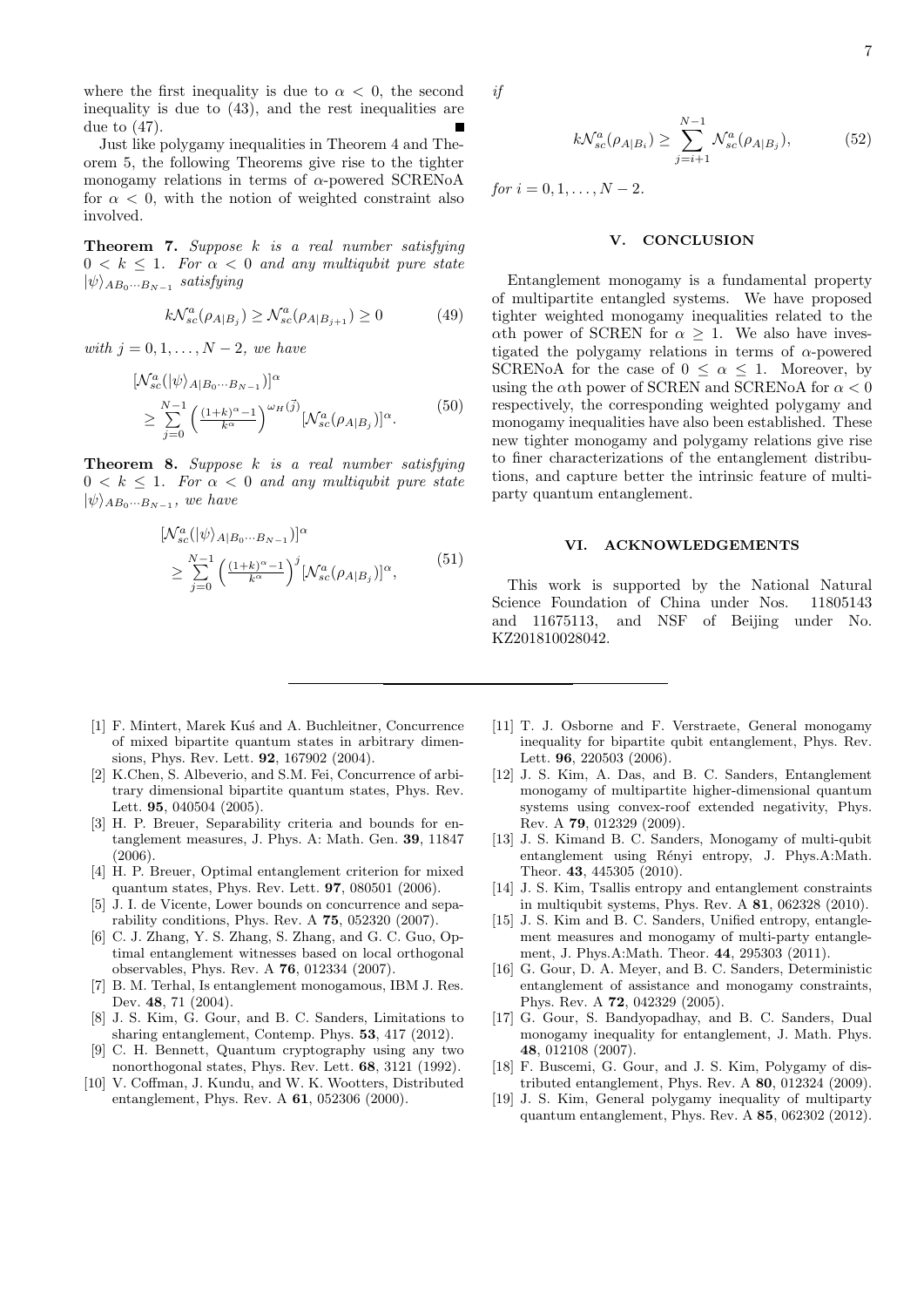where the first inequality is due to  $\alpha < 0$ , the second inequality is due to (43), and the rest inequalities are due to (47).

Just like polygamy inequalities in Theorem 4 and Theorem 5, the following Theorems give rise to the tighter monogamy relations in terms of *α*-powered SCRENoA for  $\alpha$  < 0, with the notion of weighted constraint also involved.

**Theorem 7.** *Suppose k is a real number satisfying*  $0 \leq k \leq 1$ . For  $\alpha \leq 0$  and any multiqubit pure state  $|\psi\rangle_{AB_0\cdots B_{N-1}}$  *satisfying* 

$$
k\mathcal{N}_{sc}^{a}(\rho_{A|B_j}) \geq \mathcal{N}_{sc}^{a}(\rho_{A|B_{j+1}}) \geq 0 \tag{49}
$$

 $with \, j = 0, 1, \ldots, N-2, \, we \, have$ 

$$
\begin{split} &\left[\mathcal{N}_{sc}^{a}(|\psi\rangle_{A|B_{0}\cdots B_{N-1}})\right]^{\alpha} \\ &\geq \sum_{j=0}^{N-1} \left(\frac{(1+k)^{\alpha}-1}{k^{\alpha}}\right)^{\omega_{H}(\vec{j})} [\mathcal{N}_{sc}^{a}(\rho_{A|B_{j}})]^{\alpha} . \end{split} \tag{50}
$$

**Theorem 8.** *Suppose k is a real number satisfying*  $0 < k \leq 1$ . For  $\alpha < 0$  and any multiqubit pure state  $|\psi\rangle_{AB_0\cdots B_{N-1}}$ , we have

$$
\begin{aligned} & [ \mathcal{N}_{sc}^{a}(|\psi\rangle_{A|B_{0}\cdots B_{N-1}}) ]^{\alpha} \\ & \geq \sum_{j=0}^{N-1} \left( \frac{(1+k)^{\alpha}-1}{k^{\alpha}} \right)^{j} [ \mathcal{N}_{sc}^{a}(\rho_{A|B_{j}}) ]^{\alpha}, \end{aligned} \tag{51}
$$

$$
k\mathcal{N}_{sc}^{a}(\rho_{A|B_{i}}) \ge \sum_{j=i+1}^{N-1} \mathcal{N}_{sc}^{a}(\rho_{A|B_{j}}),
$$
 (52)

 $for i = 0, 1, \ldots, N - 2.$ 

### **V. CONCLUSION**

Entanglement monogamy is a fundamental property of multipartite entangled systems. We have proposed tighter weighted monogamy inequalities related to the *α*th power of SCREN for  $\alpha \geq 1$ . We also have investigated the polygamy relations in terms of *α*-powered SCRENoA for the case of  $0 \leq \alpha \leq 1$ . Moreover, by using the *α*th power of SCREN and SCRENoA for *α <* 0 respectively, the corresponding weighted polygamy and monogamy inequalities have also been established. These new tighter monogamy and polygamy relations give rise to finer characterizations of the entanglement distributions, and capture better the intrinsic feature of multiparty quantum entanglement.

# **VI. ACKNOWLEDGEMENTS**

This work is supported by the National Natural Science Foundation of China under Nos. 11805143 and 11675113, and NSF of Beijing under No. KZ201810028042.

- [1] F. Mintert, Marek Kus' and A. Buchleitner, Concurrence of mixed bipartite quantum states in arbitrary dimensions, Phys. Rev. Lett. **92**, 167902 (2004).
- [2] K.Chen, S. Albeverio, and S.M. Fei, Concurrence of arbitrary dimensional bipartite quantum states, Phys. Rev. Lett. **95**, 040504 (2005).
- [3] H. P. Breuer, Separability criteria and bounds for entanglement measures, J. Phys. A: Math. Gen. **39**, 11847 (2006).
- [4] H. P. Breuer, Optimal entanglement criterion for mixed quantum states, Phys. Rev. Lett. **97**, 080501 (2006).
- [5] J. I. de Vicente, Lower bounds on concurrence and separability conditions, Phys. Rev. A **75**, 052320 (2007).
- [6] C. J. Zhang, Y. S. Zhang, S. Zhang, and G. C. Guo, Optimal entanglement witnesses based on local orthogonal observables, Phys. Rev. A **76**, 012334 (2007).
- [7] B. M. Terhal, Is entanglement monogamous, IBM J. Res. Dev. **48**, 71 (2004).
- [8] J. S. Kim, G. Gour, and B. C. Sanders, Limitations to sharing entanglement, Contemp. Phys. **53**, 417 (2012).
- [9] C. H. Bennett, Quantum cryptography using any two nonorthogonal states, Phys. Rev. Lett. **68**, 3121 (1992).
- [10] V. Coffman, J. Kundu, and W. K. Wootters, Distributed entanglement, Phys. Rev. A **61**, 052306 (2000).
- [11] T. J. Osborne and F. Verstraete, General monogamy inequality for bipartite qubit entanglement, Phys. Rev. Lett. **96**, 220503 (2006).
- [12] J. S. Kim, A. Das, and B. C. Sanders, Entanglement monogamy of multipartite higher-dimensional quantum systems using convex-roof extended negativity, Phys. Rev. A **79**, 012329 (2009).
- [13] J. S. Kimand B. C. Sanders, Monogamy of multi-qubit entanglement using Rényi entropy, J. Phys.A:Math. Theor. **43**, 445305 (2010).
- [14] J. S. Kim, Tsallis entropy and entanglement constraints in multiqubit systems, Phys. Rev. A **81**, 062328 (2010).
- [15] J. S. Kim and B. C. Sanders, Unified entropy, entanglement measures and monogamy of multi-party entanglement, J. Phys.A:Math. Theor. **44**, 295303 (2011).
- [16] G. Gour, D. A. Meyer, and B. C. Sanders, Deterministic entanglement of assistance and monogamy constraints, Phys. Rev. A **72**, 042329 (2005).
- [17] G. Gour, S. Bandyopadhay, and B. C. Sanders, Dual monogamy inequality for entanglement, J. Math. Phys. **48**, 012108 (2007).
- [18] F. Buscemi, G. Gour, and J. S. Kim, Polygamy of distributed entanglement, Phys. Rev. A **80**, 012324 (2009).
- [19] J. S. Kim, General polygamy inequality of multiparty quantum entanglement, Phys. Rev. A **85**, 062302 (2012).